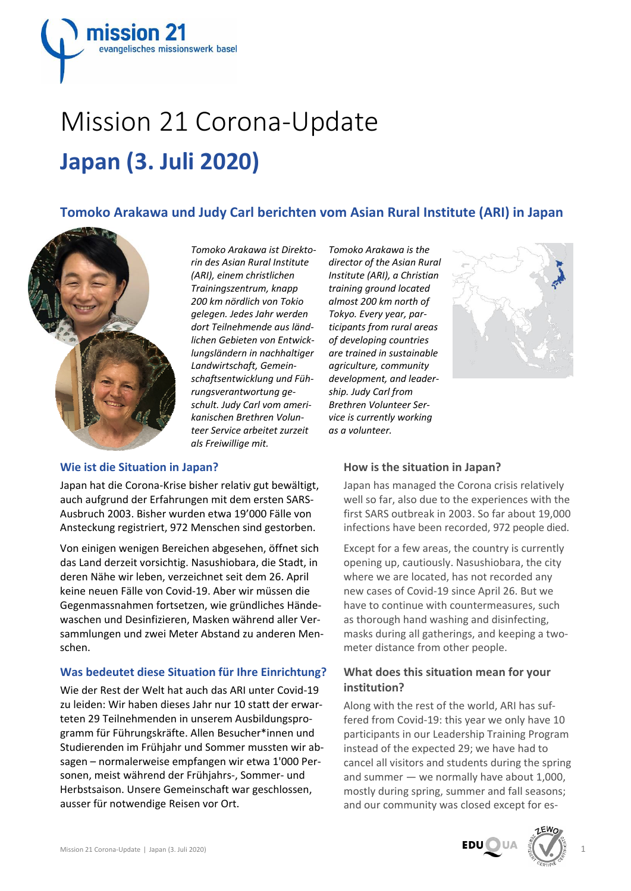

# Mission 21 Corona‐Update **Japan (3. Juli 2020)**

# **Tomoko Arakawa und Judy Carl berichten vom Asian Rural Institute (ARI) in Japan**



*Tomoko Arakawa ist Direkto‐ rin des Asian Rural Institute (ARI), einem christlichen Trainingszentrum, knapp 200 km nördlich von Tokio gelegen. Jedes Jahr werden dort Teilnehmende aus länd‐ lichen Gebieten von Entwick‐ lungsländern in nachhaltiger Landwirtschaft, Gemein‐ schaftsentwicklung und Füh‐ rungsverantwortung ge‐ schult. Judy Carl vom ameri‐ kanischen Brethren Volun‐ teer Service arbeitet zurzeit als Freiwillige mit.*

#### **Wie ist die Situation in Japan?**

Japan hat die Corona‐Krise bisher relativ gut bewältigt, auch aufgrund der Erfahrungen mit dem ersten SARS‐ Ausbruch 2003. Bisher wurden etwa 19'000 Fälle von Ansteckung registriert, 972 Menschen sind gestorben.

Von einigen wenigen Bereichen abgesehen, öffnet sich das Land derzeit vorsichtig. Nasushiobara, die Stadt, in deren Nähe wir leben, verzeichnet seit dem 26. April keine neuen Fälle von Covid‐19. Aber wir müssen die Gegenmassnahmen fortsetzen, wie gründliches Hände‐ waschen und Desinfizieren, Masken während aller Ver‐ sammlungen und zwei Meter Abstand zu anderen Men‐ schen.

### **Was bedeutet diese Situation für Ihre Einrichtung?**

Wie der Rest der Welt hat auch das ARI unter Covid‐19 zu leiden: Wir haben dieses Jahr nur 10 statt der erwar‐ teten 29 Teilnehmenden in unserem Ausbildungspro‐ gramm für Führungskräfte. Allen Besucher\*innen und Studierenden im Frühjahr und Sommer mussten wir ab‐ sagen – normalerweise empfangen wir etwa 1'000 Per‐ sonen, meist während der Frühjahrs‐, Sommer‐ und Herbstsaison. Unsere Gemeinschaft war geschlossen, ausser für notwendige Reisen vor Ort.

*Tomoko Arakawa is the director of the Asian Rural Institute (ARI), a Christian training ground located almost 200 km north of Tokyo. Every year, par‐ ticipants from rural areas of developing countries are trained in sustainable agriculture, community development, and leader‐ ship. Judy Carl from Brethren Volunteer Ser‐ vice is currently working as a volunteer.*



### **How is the situation in Japan?**

Japan has managed the Corona crisis relatively well so far, also due to the experiences with the first SARS outbreak in 2003. So far about 19,000 infections have been recorded, 972 people died.

Except for a few areas, the country is currently opening up, cautiously. Nasushiobara, the city where we are located, has not recorded any new cases of Covid‐19 since April 26. But we have to continue with countermeasures, such as thorough hand washing and disinfecting, masks during all gatherings, and keeping a two‐ meter distance from other people.

# **What does this situation mean for your institution?**

Along with the rest of the world, ARI has suf‐ fered from Covid‐19: this year we only have 10 participants in our Leadership Training Program instead of the expected 29; we have had to cancel all visitors and students during the spring and summer — we normally have about 1,000, mostly during spring, summer and fall seasons; and our community was closed except for es-



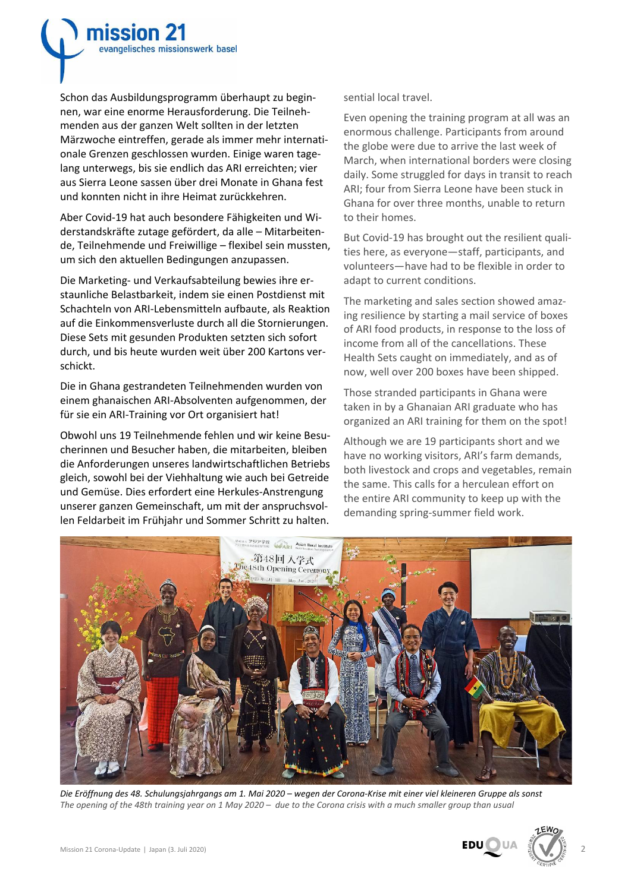Schon das Ausbildungsprogramm überhaupt zu begin‐ nen, war eine enorme Herausforderung. Die Teilneh‐ menden aus der ganzen Welt sollten in der letzten Märzwoche eintreffen, gerade als immer mehr internati‐ onale Grenzen geschlossen wurden. Einige waren tage‐ lang unterwegs, bis sie endlich das ARI erreichten; vier aus Sierra Leone sassen über drei Monate in Ghana fest und konnten nicht in ihre Heimat zurückkehren.

mission 21

evangelisches missionswerk basel

Aber Covid‐19 hat auch besondere Fähigkeiten und Wi‐ derstandskräfte zutage gefördert, da alle – Mitarbeiten‐ de, Teilnehmende und Freiwillige – flexibel sein mussten, um sich den aktuellen Bedingungen anzupassen.

Die Marketing‐ und Verkaufsabteilung bewies ihre er‐ staunliche Belastbarkeit, indem sie einen Postdienst mit Schachteln von ARI‐Lebensmitteln aufbaute, als Reaktion auf die Einkommensverluste durch all die Stornierungen. Diese Sets mit gesunden Produkten setzten sich sofort durch, und bis heute wurden weit über 200 Kartons ver‐ schickt.

Die in Ghana gestrandeten Teilnehmenden wurden von einem ghanaischen ARI‐Absolventen aufgenommen, der für sie ein ARI‐Training vor Ort organisiert hat!

Obwohl uns 19 Teilnehmende fehlen und wir keine Besu‐ cherinnen und Besucher haben, die mitarbeiten, bleiben die Anforderungen unseres landwirtschaftlichen Betriebs gleich, sowohl bei der Viehhaltung wie auch bei Getreide und Gemüse. Dies erfordert eine Herkules‐Anstrengung unserer ganzen Gemeinschaft, um mit der anspruchsvol‐ len Feldarbeit im Frühjahr und Sommer Schritt zu halten.

sential local travel.

Even opening the training program at all was an enormous challenge. Participants from around the globe were due to arrive the last week of March, when international borders were closing daily. Some struggled for days in transit to reach ARI; four from Sierra Leone have been stuck in Ghana for over three months, unable to return to their homes.

But Covid‐19 has brought out the resilient quali‐ ties here, as everyone—staff, participants, and volunteers—have had to be flexible in order to adapt to current conditions.

The marketing and sales section showed amaz‐ ing resilience by starting a mail service of boxes of ARI food products, in response to the loss of income from all of the cancellations. These Health Sets caught on immediately, and as of now, well over 200 boxes have been shipped.

Those stranded participants in Ghana were taken in by a Ghanaian ARI graduate who has organized an ARI training for them on the spot!

Although we are 19 participants short and we have no working visitors, ARI's farm demands, both livestock and crops and vegetables, remain the same. This calls for a herculean effort on the entire ARI community to keep up with the demanding spring‐summer field work.



Die Eröffnung des 48. Schulungsjahrgangs am 1. Mai 2020 - wegen der Corona-Krise mit einer viel kleineren Gruppe als sonst The opening of the 48th training year on 1 May 2020  $-$  due to the Corona crisis with a much smaller group than usual